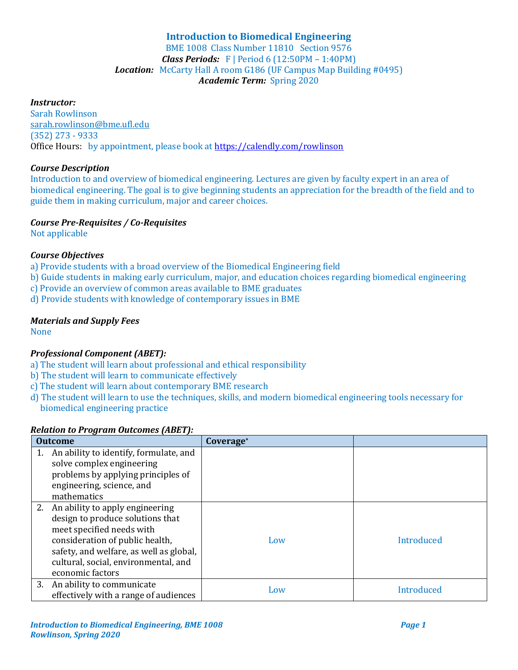# **Introduction to Biomedical Engineering**

BME 1008 Class Number 11810 Section 9576 *Class Periods:* F | Period 6 (12:50PM – 1:40PM) *Location:* McCarty Hall A room G186 (UF Campus Map Building #0495) *Academic Term:* Spring 2020

# *Instructor:*

Sarah Rowlinson sarah.rowlinson@bme.ufl.edu (352) 273 - 9333 Office Hours: by appointment, please book a[t https://calendly.com/rowlinson](https://calendly.com/rowlinson)

## *Course Description*

Introduction to and overview of biomedical engineering. Lectures are given by faculty expert in an area of biomedical engineering. The goal is to give beginning students an appreciation for the breadth of the field and to guide them in making curriculum, major and career choices.

## *Course Pre-Requisites / Co-Requisites*

Not applicable

# *Course Objectives*

- a) Provide students with a broad overview of the Biomedical Engineering field
- b) Guide students in making early curriculum, major, and education choices regarding biomedical engineering
- c) Provide an overview of common areas available to BME graduates
- d) Provide students with knowledge of contemporary issues in BME

# *Materials and Supply Fees*

None

# *Professional Component (ABET):*

- a) The student will learn about professional and ethical responsibility
- b) The student will learn to communicate effectively
- c) The student will learn about contemporary BME research
- d) The student will learn to use the techniques, skills, and modern biomedical engineering tools necessary for biomedical engineering practice

# *Relation to Program Outcomes (ABET):*

| <b>Outcome</b> |                                                                                                                                                                                                                                               | Coverage* |            |
|----------------|-----------------------------------------------------------------------------------------------------------------------------------------------------------------------------------------------------------------------------------------------|-----------|------------|
| 1.             | An ability to identify, formulate, and<br>solve complex engineering<br>problems by applying principles of<br>engineering, science, and<br>mathematics                                                                                         |           |            |
|                | 2. An ability to apply engineering<br>design to produce solutions that<br>meet specified needs with<br>consideration of public health,<br>safety, and welfare, as well as global,<br>cultural, social, environmental, and<br>economic factors | Low       | Introduced |
|                | 3. An ability to communicate<br>effectively with a range of audiences                                                                                                                                                                         | Low       | Introduced |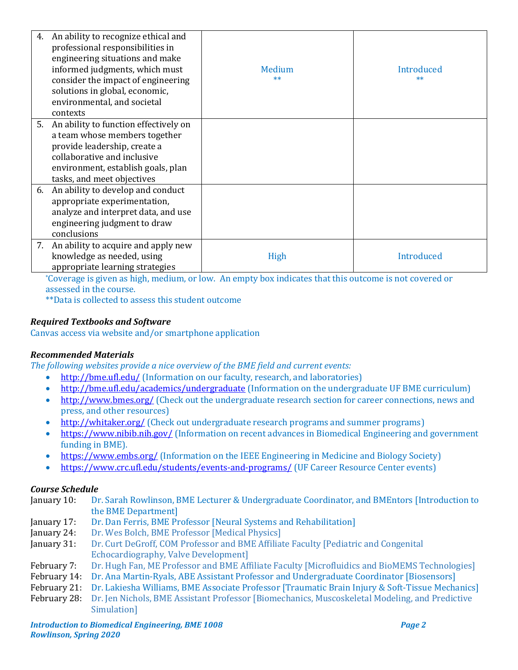| An ability to recognize ethical and<br>4.<br>professional responsibilities in<br>engineering situations and make<br>informed judgments, which must<br>consider the impact of engineering<br>solutions in global, economic,<br>environmental, and societal<br>contexts | Medium<br>$**$                                                                                                                  | Introduced<br>$**$                                                                                                    |
|-----------------------------------------------------------------------------------------------------------------------------------------------------------------------------------------------------------------------------------------------------------------------|---------------------------------------------------------------------------------------------------------------------------------|-----------------------------------------------------------------------------------------------------------------------|
| 5.<br>An ability to function effectively on<br>a team whose members together                                                                                                                                                                                          |                                                                                                                                 |                                                                                                                       |
| provide leadership, create a                                                                                                                                                                                                                                          |                                                                                                                                 |                                                                                                                       |
| collaborative and inclusive                                                                                                                                                                                                                                           |                                                                                                                                 |                                                                                                                       |
| environment, establish goals, plan                                                                                                                                                                                                                                    |                                                                                                                                 |                                                                                                                       |
| tasks, and meet objectives                                                                                                                                                                                                                                            |                                                                                                                                 |                                                                                                                       |
| An ability to develop and conduct<br>6.                                                                                                                                                                                                                               |                                                                                                                                 |                                                                                                                       |
| appropriate experimentation,                                                                                                                                                                                                                                          |                                                                                                                                 |                                                                                                                       |
| analyze and interpret data, and use                                                                                                                                                                                                                                   |                                                                                                                                 |                                                                                                                       |
| engineering judgment to draw                                                                                                                                                                                                                                          |                                                                                                                                 |                                                                                                                       |
| conclusions                                                                                                                                                                                                                                                           |                                                                                                                                 |                                                                                                                       |
| 7. An ability to acquire and apply new                                                                                                                                                                                                                                |                                                                                                                                 |                                                                                                                       |
| knowledge as needed, using                                                                                                                                                                                                                                            | High                                                                                                                            | Introduced                                                                                                            |
| appropriate learning strategies                                                                                                                                                                                                                                       | <b>The Contract of the Contract of the Contract of the Contract of the Contract of the Contract of the Contract o</b><br>.<br>. | <b>The Contract of the Contract of the Contract of the Contract of the Contract of the Contract of the Contract o</b> |

\*Coverage is given as high, medium, or low. An empty box indicates that this outcome is not covered or assessed in the course.

\*\*Data is collected to assess this student outcome

## *Required Textbooks and Software*

Canvas access via website and/or smartphone application

# *Recommended Materials*

*The following websites provide a nice overview of the BME field and current events:*

- <http://bme.ufl.edu/> (Information on our faculty, research, and laboratories)
- <http://bme.ufl.edu/academics/undergraduate> (Information on the undergraduate UF BME curriculum)
- <http://www.bmes.org/> (Check out the undergraduate research section for career connections, news and press, and other resources)
- <http://whitaker.org/> (Check out undergraduate research programs and summer programs)
- <https://www.nibib.nih.gov/> (Information on recent advances in Biomedical Engineering and government funding in BME).
- <https://www.embs.org/> (Information on the IEEE Engineering in Medicine and Biology Society)
- <https://www.crc.ufl.edu/students/events-and-programs/> (UF Career Resource Center events)

#### *Course Schedule*

- January 10: Dr. Sarah Rowlinson, BME Lecturer & Undergraduate Coordinator, and BMEntors [Introduction to the BME Department]
- January 17: Dr. Dan Ferris, BME Professor [Neural Systems and Rehabilitation]
- January 24: Dr. Wes Bolch, BME Professor [Medical Physics]
- January 31: Dr. Curt DeGroff, COM Professor and BME Affiliate Faculty [Pediatric and Congenital Echocardiography, Valve Development]
- February 7: Dr. Hugh Fan, ME Professor and BME Affiliate Faculty [Microfluidics and BioMEMS Technologies]
- February 14: Dr. Ana Martin-Ryals, ABE Assistant Professor and Undergraduate Coordinator [Biosensors]
- February 21: Dr. Lakiesha Williams, BME Associate Professor [Traumatic Brain Injury & Soft-Tissue Mechanics]
- February 28: Dr. Jen Nichols, BME Assistant Professor [Biomechanics, Muscoskeletal Modeling, and Predictive Simulation]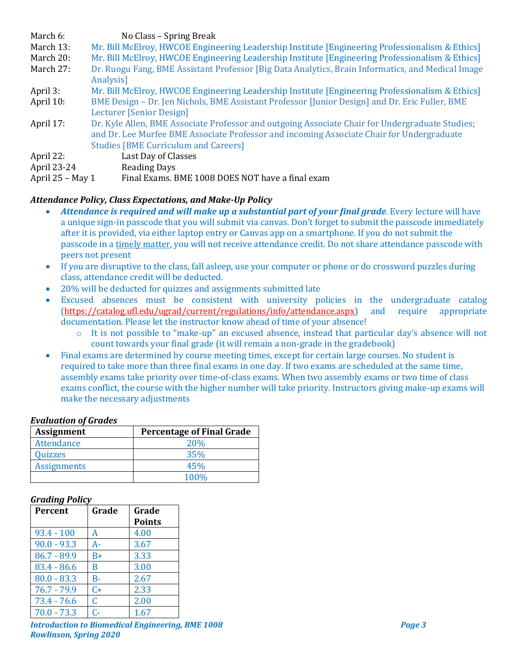| March 6:           | No Class - Spring Break                                                                                        |
|--------------------|----------------------------------------------------------------------------------------------------------------|
| March 13:          | Mr. Bill McElroy, HWCOE Engineering Leadership Institute [Engineering Professionalism & Ethics]                |
| March 20:          | Mr. Bill McElroy, HWCOE Engineering Leadership Institute [Engineering Professionalism & Ethics]                |
| March 27:          | Dr. Ruogu Fang, BME Assistant Professor [Big Data Analytics, Brain Informatics, and Medical Image<br>Analysis] |
| April 3:           | Mr. Bill McElroy, HWCOE Engineering Leadership Institute [Engineering Professionalism & Ethics]                |
| April 10:          | BME Design – Dr. Jen Nichols, BME Assistant Professor [Junior Design] and Dr. Eric Fuller, BME                 |
|                    | Lecturer [Senior Design]                                                                                       |
| April 17:          | Dr. Kyle Allen, BME Associate Professor and outgoing Associate Chair for Undergraduate Studies;                |
|                    | and Dr. Lee Murfee BME Associate Professor and incoming Associate Chair for Undergraduate                      |
|                    | <b>Studies [BME Curriculum and Careers]</b>                                                                    |
| April 22:          | Last Day of Classes                                                                                            |
| April 23-24        | <b>Reading Days</b>                                                                                            |
| April $25 - May 1$ | Final Exams. BME 1008 DOES NOT have a final exam                                                               |

# *Attendance Policy, Class Expectations, and Make-Up Policy*

- *Attendance is required and will make up a substantial part of your final grade*. Every lecture will have a unique sign-in passcode that you will submit via canvas. Don't forget to submit the passcode immediately after it is provided, via either laptop entry or Canvas app on a smartphone. If you do not submit the passcode in a timely matter, you will not receive attendance credit. Do not share attendance passcode with peers not present
- If you are disruptive to the class, fall asleep, use your computer or phone or do crossword puzzles during class, attendance credit will be deducted.
- 20% will be deducted for quizzes and assignments submitted late
- Excused absences must be consistent with university policies in the undergraduate catalog [\(https://catalog.ufl.edu/ugrad/current/regulations/info/attendance.aspx\)](https://catalog.ufl.edu/ugrad/current/regulations/info/attendance.aspx) and require appropriate documentation. Please let the instructor know ahead of time of your absence!
	- o It is not possible to "make-up" an excused absence, instead that particular day's absence will not count towards your final grade (it will remain a non-grade in the gradebook)
- Final exams are determined by course meeting times, except for certain large courses. No student is required to take more than three final exams in one day. If two exams are scheduled at the same time, assembly exams take priority over time-of-class exams. When two assembly exams or two time of class exams conflict, the course with the higher number will take priority. Instructors giving make-up exams will make the necessary adjustments

# *Evaluation of Grades*

| <b>Assignment</b>  | <b>Percentage of Final Grade</b> |
|--------------------|----------------------------------|
| Attendance         | <b>20%</b>                       |
| Quizzes            | <b>35%</b>                       |
| <b>Assignments</b> | 45%                              |
|                    | 100%                             |

# *Grading Policy*

| Percent       | Grade | Grade<br><b>Points</b> |
|---------------|-------|------------------------|
| $93.4 - 100$  | А     | 4.00                   |
| $90.0 - 93.3$ | A-    | 3.67                   |
| $86.7 - 89.9$ | B+    | 3.33                   |
| $83.4 - 86.6$ | B     | 3.00                   |
| $80.0 - 83.3$ | $B -$ | 2.67                   |
| $76.7 - 79.9$ | $C+$  | 2.33                   |
| $73.4 - 76.6$ | C     | 2.00                   |
| $70.0 - 73.3$ | C-    | 1.67                   |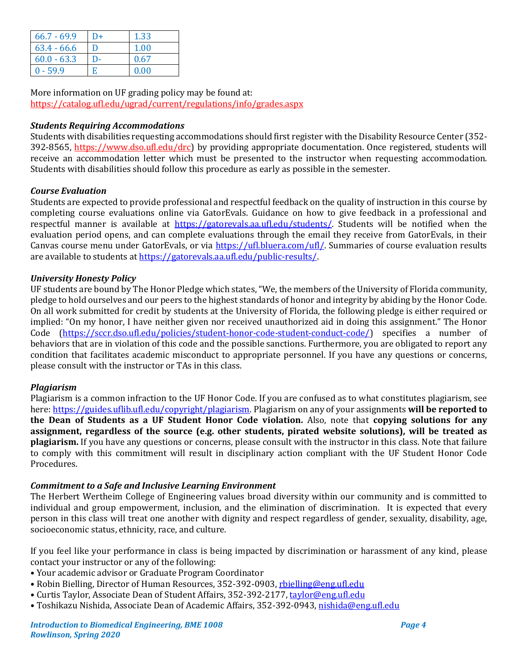| $66.7 - 69.9$ | $D+$ | 1.33 |
|---------------|------|------|
| $63.4 - 66.6$ | n    | 1.00 |
| $60.0 - 63.3$ | D-   | 0.67 |
| $0 - 59.9$    | F    | 0.00 |

More information on UF grading policy may be found at: <https://catalog.ufl.edu/ugrad/current/regulations/info/grades.aspx>

## *Students Requiring Accommodations*

Students with disabilities requesting accommodations should first register with the Disability Resource Center (352- 392-8565, https://www.dso.ufl.edu/drc) by providing appropriate documentation. Once registered, students will receive an accommodation letter which must be presented to the instructor when requesting accommodation. Students with disabilities should follow this procedure as early as possible in the semester.

## *Course Evaluation*

Students are expected to provide professional and respectful feedback on the quality of instruction in this course by completing course evaluations online via GatorEvals. Guidance on how to give feedback in a professional and respectful manner is available at [https://gatorevals.aa.ufl.edu/students/.](https://gatorevals.aa.ufl.edu/students/) Students will be notified when the evaluation period opens, and can complete evaluations through the email they receive from GatorEvals, in their Canvas course menu under GatorEvals, or via [https://ufl.bluera.com/ufl/.](https://ufl.bluera.com/ufl/) Summaries of course evaluation results are available to students a[t https://gatorevals.aa.ufl.edu/public-results/.](https://gatorevals.aa.ufl.edu/public-results/)

## *University Honesty Policy*

UF students are bound by The Honor Pledge which states, "We, the members of the University of Florida community, pledge to hold ourselves and our peers to the highest standards of honor and integrity by abiding by the Honor Code. On all work submitted for credit by students at the University of Florida, the following pledge is either required or implied: "On my honor, I have neither given nor received unauthorized aid in doing this assignment." The Honor Code [\(https://sccr.dso.ufl.edu/policies/student-honor-code-student-conduct-code/\)](https://sccr.dso.ufl.edu/policies/student-honor-code-student-conduct-code/) specifies a number of behaviors that are in violation of this code and the possible sanctions. Furthermore, you are obligated to report any condition that facilitates academic misconduct to appropriate personnel. If you have any questions or concerns, please consult with the instructor or TAs in this class.

#### *Plagiarism*

Plagiarism is a common infraction to the UF Honor Code. If you are confused as to what constitutes plagiarism, see here[: https://guides.uflib.ufl.edu/copyright/plagiarism.](https://guides.uflib.ufl.edu/copyright/plagiarism) Plagiarism on any of your assignments **will be reported to the Dean of Students as a UF Student Honor Code violation.** Also, note that **copying solutions for any assignment, regardless of the source (e.g. other students, pirated website solutions), will be treated as plagiarism.** If you have any questions or concerns, please consult with the instructor in this class. Note that failure to comply with this commitment will result in disciplinary action compliant with the UF Student Honor Code Procedures.

#### *Commitment to a Safe and Inclusive Learning Environment*

The Herbert Wertheim College of Engineering values broad diversity within our community and is committed to individual and group empowerment, inclusion, and the elimination of discrimination. It is expected that every person in this class will treat one another with dignity and respect regardless of gender, sexuality, disability, age, socioeconomic status, ethnicity, race, and culture.

If you feel like your performance in class is being impacted by discrimination or harassment of any kind, please contact your instructor or any of the following:

- Your academic advisor or Graduate Program Coordinator
- Robin Bielling, Director of Human Resources, 352-392-0903, [rbielling@eng.ufl.edu](mailto:rbielling@eng.ufl.edu)
- Curtis Taylor, Associate Dean of Student Affairs, 352-392-2177[, taylor@eng.ufl.edu](mailto:taylor@eng.ufl.edu)
- Toshikazu Nishida, Associate Dean of Academic Affairs, 352-392-0943[, nishida@eng.ufl.edu](mailto:nishida@eng.ufl.edu)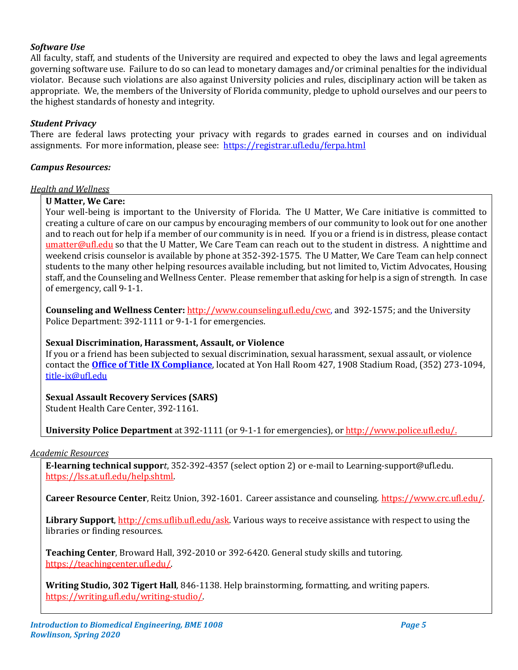# *Software Use*

All faculty, staff, and students of the University are required and expected to obey the laws and legal agreements governing software use. Failure to do so can lead to monetary damages and/or criminal penalties for the individual violator. Because such violations are also against University policies and rules, disciplinary action will be taken as appropriate. We, the members of the University of Florida community, pledge to uphold ourselves and our peers to the highest standards of honesty and integrity.

## *Student Privacy*

There are federal laws protecting your privacy with regards to grades earned in courses and on individual assignments. For more information, please see: <https://registrar.ufl.edu/ferpa.html>

#### *Campus Resources:*

#### *Health and Wellness*

## **U Matter, We Care:**

Your well-being is important to the University of Florida. The U Matter, We Care initiative is committed to creating a culture of care on our campus by encouraging members of our community to look out for one another and to reach out for help if a member of our community is in need. If you or a friend is in distress, please contact [umatter@ufl.edu](mailto:umatter@ufl.edu) so that the U Matter, We Care Team can reach out to the student in distress. A nighttime and weekend crisis counselor is available by phone at 352-392-1575. The U Matter, We Care Team can help connect students to the many other helping resources available including, but not limited to, Victim Advocates, Housing staff, and the Counseling and Wellness Center. Please remember that asking for help is a sign of strength. In case of emergency, call 9-1-1.

**Counseling and Wellness Center:** [http://www.counseling.ufl.edu/cwc,](http://www.counseling.ufl.edu/cwc) and 392-1575; and the University Police Department: 392-1111 or 9-1-1 for emergencies.

#### **Sexual Discrimination, Harassment, Assault, or Violence**

If you or a friend has been subjected to sexual discrimination, sexual harassment, sexual assault, or violence contact the **[Office of Title IX Compliance](https://titleix.ufl.edu/)**, located at Yon Hall Room 427, 1908 Stadium Road, (352) 273-1094, [title-ix@ufl.edu](mailto:title-ix@ufl.edu)

# **Sexual Assault Recovery Services (SARS)**

Student Health Care Center, 392-1161.

**University Police Department** at 392-1111 (or 9-1-1 for emergencies), o[r http://www.police.ufl.edu/.](http://www.police.ufl.edu/)

#### *Academic Resources*

**E-learning technical suppor***t*, 352-392-4357 (select option 2) or e-mail to Learning-support@ufl.edu. [https://lss.at.ufl.edu/help.shtml.](https://lss.at.ufl.edu/help.shtml)

**Career Resource Center**, Reitz Union, 392-1601. Career assistance and counseling[. https://www.crc.ufl.edu/.](https://www.crc.ufl.edu/)

**Library Support**[, http://cms.uflib.ufl.edu/ask.](http://cms.uflib.ufl.edu/ask) Various ways to receive assistance with respect to using the libraries or finding resources.

**Teaching Center**, Broward Hall, 392-2010 or 392-6420. General study skills and tutoring. [https://teachingcenter.ufl.edu/.](https://teachingcenter.ufl.edu/)

**Writing Studio, 302 Tigert Hall***,* 846-1138. Help brainstorming, formatting, and writing papers. [https://writing.ufl.edu/writing-studio/.](https://writing.ufl.edu/writing-studio/)